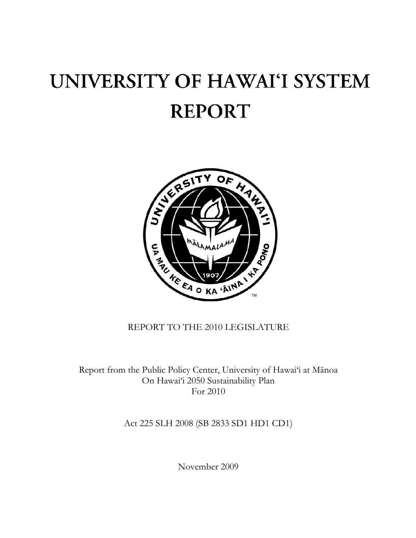# UNIVERSITY OF HAWAI'I SYSTEM **REPORT**



# REPORT TO THE 2010 LEGISLATURE

Report from the Public Policy Center, University of Hawai'i at Mānoa On Hawai'i 2050 Sustainability Plan For 2010

Act 225 SLH 2008 (SB 2833 SD1 HD1 CD1)

November 2009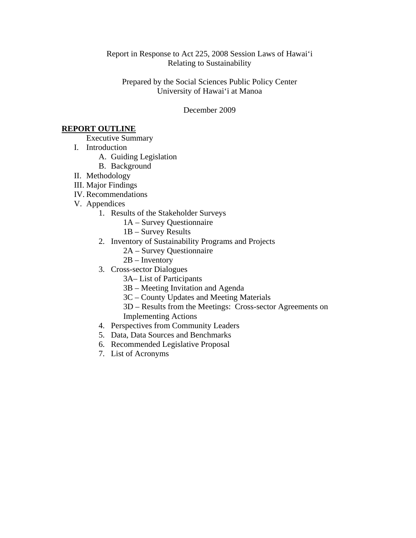Report in Response to Act 225, 2008 Session Laws of Hawai'i Relating to Sustainability

Prepared by the Social Sciences Public Policy Center University of Hawai'i at Manoa

December 2009

## **REPORT OUTLINE**

Executive Summary

- I. Introduction
	- A. Guiding Legislation
	- B. Background
- II. Methodology
- III. Major Findings
- IV. Recommendations
- V. Appendices
	- 1. Results of the Stakeholder Surveys
		- 1A Survey Questionnaire
		- 1B Survey Results
	- 2. Inventory of Sustainability Programs and Projects
		- 2A Survey Questionnaire
		- 2B Inventory
	- 3. Cross-sector Dialogues
		- 3A– List of Participants
		- 3B Meeting Invitation and Agenda
		- 3C County Updates and Meeting Materials
		- 3D Results from the Meetings: Cross-sector Agreements on Implementing Actions
	- 4. Perspectives from Community Leaders
	- 5. Data, Data Sources and Benchmarks
	- 6. Recommended Legislative Proposal
	- 7. List of Acronyms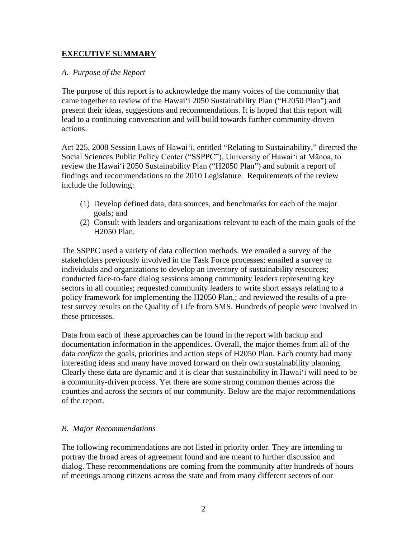# **EXECUTIVE SUMMARY**

# *A. Purpose of the Report*

The purpose of this report is to acknowledge the many voices of the community that came together to review of the Hawai'i 2050 Sustainability Plan ("H2050 Plan") and present their ideas, suggestions and recommendations. It is hoped that this report will lead to a continuing conversation and will build towards further community-driven actions.

Act 225, 2008 Session Laws of Hawai'i, entitled "Relating to Sustainability," directed the Social Sciences Public Policy Center ("SSPPC"), University of Hawai'i at Mānoa, to review the Hawai'i 2050 Sustainability Plan ("H2050 Plan") and submit a report of findings and recommendations to the 2010 Legislature. Requirements of the review include the following:

- (1) Develop defined data, data sources, and benchmarks for each of the major goals; and
- (2) Consult with leaders and organizations relevant to each of the main goals of the H2050 Plan.

The SSPPC used a variety of data collection methods. We emailed a survey of the stakeholders previously involved in the Task Force processes; emailed a survey to individuals and organizations to develop an inventory of sustainability resources; conducted face-to-face dialog sessions among community leaders representing key sectors in all counties; requested community leaders to write short essays relating to a policy framework for implementing the H2050 Plan.; and reviewed the results of a pretest survey results on the Quality of Life from SMS. Hundreds of people were involved in these processes.

Data from each of these approaches can be found in the report with backup and documentation information in the appendices. Overall, the major themes from all of the data *confirm* the goals, priorities and action steps of H2050 Plan. Each county had many interesting ideas and many have moved forward on their own sustainability planning. Clearly these data are dynamic and it is clear that sustainability in Hawai'i will need to be a community-driven process. Yet there are some strong common themes across the counties and across the sectors of our community. Below are the major recommendations of the report.

## *B. Major Recommendations*

The following recommendations are not listed in priority order. They are intending to portray the broad areas of agreement found and are meant to further discussion and dialog. These recommendations are coming from the community after hundreds of hours of meetings among citizens across the state and from many different sectors of our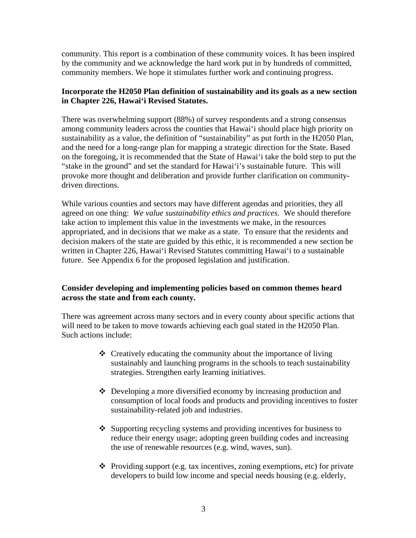community. This report is a combination of these community voices. It has been inspired by the community and we acknowledge the hard work put in by hundreds of committed, community members. We hope it stimulates further work and continuing progress.

# **Incorporate the H2050 Plan definition of sustainability and its goals as a new section in Chapter 226, Hawai'i Revised Statutes.**

There was overwhelming support (88%) of survey respondents and a strong consensus among community leaders across the counties that Hawai'i should place high priority on sustainability as a value, the definition of "sustainability" as put forth in the H2050 Plan, and the need for a long-range plan for mapping a strategic direction for the State. Based on the foregoing, it is recommended that the State of Hawai'i take the bold step to put the "stake in the ground" and set the standard for Hawai'i's sustainable future. This will provoke more thought and deliberation and provide further clarification on communitydriven directions.

While various counties and sectors may have different agendas and priorities, they all agreed on one thing: *We value sustainability ethics and practices.* We should therefore take action to implement this value in the investments we make, in the resources appropriated, and in decisions that we make as a state. To ensure that the residents and decision makers of the state are guided by this ethic, it is recommended a new section be written in Chapter 226, Hawai'i Revised Statutes committing Hawai'i to a sustainable future. See Appendix 6 for the proposed legislation and justification.

# **Consider developing and implementing policies based on common themes heard across the state and from each county.**

There was agreement across many sectors and in every county about specific actions that will need to be taken to move towards achieving each goal stated in the H2050 Plan. Such actions include:

- Creatively educating the community about the importance of living sustainably and launching programs in the schools to teach sustainability strategies. Strengthen early learning initiatives.
- Developing a more diversified economy by increasing production and consumption of local foods and products and providing incentives to foster sustainability-related job and industries.
- Supporting recycling systems and providing incentives for business to reduce their energy usage; adopting green building codes and increasing the use of renewable resources (e.g. wind, waves, sun).
- $\triangle$  Providing support (e.g. tax incentives, zoning exemptions, etc) for private developers to build low income and special needs housing (e.g. elderly,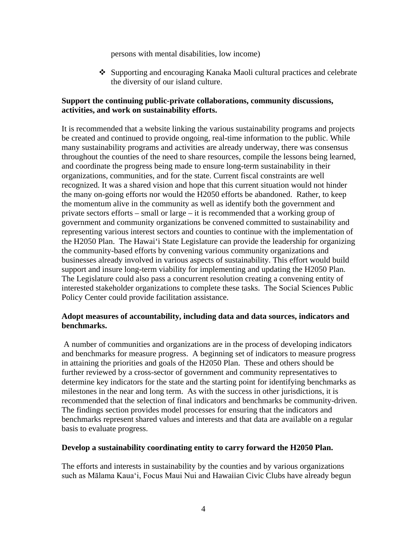persons with mental disabilities, low income)

 Supporting and encouraging Kanaka Maoli cultural practices and celebrate the diversity of our island culture.

# **Support the continuing public-private collaborations, community discussions, activities, and work on sustainability efforts.**

It is recommended that a website linking the various sustainability programs and projects be created and continued to provide ongoing, real-time information to the public. While many sustainability programs and activities are already underway, there was consensus throughout the counties of the need to share resources, compile the lessons being learned, and coordinate the progress being made to ensure long-term sustainability in their organizations, communities, and for the state. Current fiscal constraints are well recognized. It was a shared vision and hope that this current situation would not hinder the many on-going efforts nor would the H2050 efforts be abandoned. Rather, to keep the momentum alive in the community as well as identify both the government and private sectors efforts – small or large – it is recommended that a working group of government and community organizations be convened committed to sustainability and representing various interest sectors and counties to continue with the implementation of the H2050 Plan. The Hawai'i State Legislature can provide the leadership for organizing the community-based efforts by convening various community organizations and businesses already involved in various aspects of sustainability. This effort would build support and insure long-term viability for implementing and updating the H2050 Plan. The Legislature could also pass a concurrent resolution creating a convening entity of interested stakeholder organizations to complete these tasks. The Social Sciences Public Policy Center could provide facilitation assistance.

# **Adopt measures of accountability, including data and data sources, indicators and benchmarks.**

A number of communities and organizations are in the process of developing indicators and benchmarks for measure progress. A beginning set of indicators to measure progress in attaining the priorities and goals of the H2050 Plan. These and others should be further reviewed by a cross-sector of government and community representatives to determine key indicators for the state and the starting point for identifying benchmarks as milestones in the near and long term. As with the success in other jurisdictions, it is recommended that the selection of final indicators and benchmarks be community-driven. The findings section provides model processes for ensuring that the indicators and benchmarks represent shared values and interests and that data are available on a regular basis to evaluate progress.

## **Develop a sustainability coordinating entity to carry forward the H2050 Plan.**

The efforts and interests in sustainability by the counties and by various organizations such as Mālama Kaua'i, Focus Maui Nui and Hawaiian Civic Clubs have already begun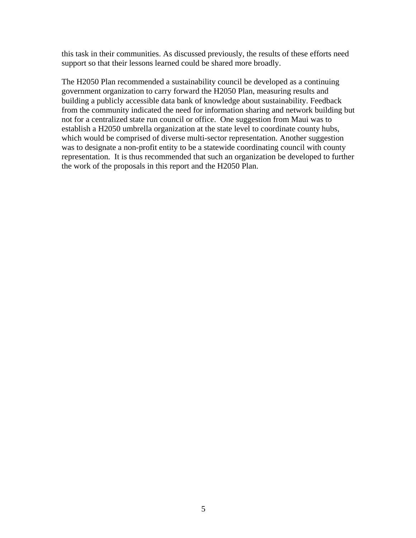this task in their communities. As discussed previously, the results of these efforts need support so that their lessons learned could be shared more broadly.

The H2050 Plan recommended a sustainability council be developed as a continuing government organization to carry forward the H2050 Plan, measuring results and building a publicly accessible data bank of knowledge about sustainability. Feedback from the community indicated the need for information sharing and network building but not for a centralized state run council or office. One suggestion from Maui was to establish a H2050 umbrella organization at the state level to coordinate county hubs, which would be comprised of diverse multi-sector representation. Another suggestion was to designate a non-profit entity to be a statewide coordinating council with county representation. It is thus recommended that such an organization be developed to further the work of the proposals in this report and the H2050 Plan.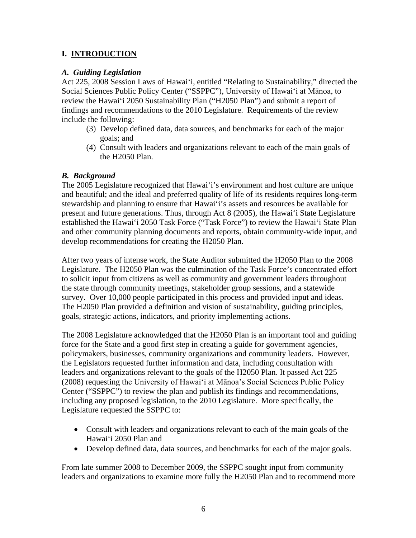# **I. INTRODUCTION**

# *A. Guiding Legislation*

Act 225, 2008 Session Laws of Hawai'i, entitled "Relating to Sustainability," directed the Social Sciences Public Policy Center ("SSPPC"), University of Hawai'i at Mānoa, to review the Hawai'i 2050 Sustainability Plan ("H2050 Plan") and submit a report of findings and recommendations to the 2010 Legislature. Requirements of the review include the following:

- (3) Develop defined data, data sources, and benchmarks for each of the major goals; and
- (4) Consult with leaders and organizations relevant to each of the main goals of the H2050 Plan.

# *B. Background*

The 2005 Legislature recognized that Hawai'i's environment and host culture are unique and beautiful; and the ideal and preferred quality of life of its residents requires long-term stewardship and planning to ensure that Hawai'i's assets and resources be available for present and future generations. Thus, through Act 8 (2005), the Hawai'i State Legislature established the Hawai'i 2050 Task Force ("Task Force") to review the Hawai'i State Plan and other community planning documents and reports, obtain community-wide input, and develop recommendations for creating the H2050 Plan.

After two years of intense work, the State Auditor submitted the H2050 Plan to the 2008 Legislature. The H2050 Plan was the culmination of the Task Force's concentrated effort to solicit input from citizens as well as community and government leaders throughout the state through community meetings, stakeholder group sessions, and a statewide survey. Over 10,000 people participated in this process and provided input and ideas. The H2050 Plan provided a definition and vision of sustainability, guiding principles, goals, strategic actions, indicators, and priority implementing actions.

The 2008 Legislature acknowledged that the H2050 Plan is an important tool and guiding force for the State and a good first step in creating a guide for government agencies, policymakers, businesses, community organizations and community leaders. However, the Legislators requested further information and data, including consultation with leaders and organizations relevant to the goals of the H2050 Plan. It passed Act 225 (2008) requesting the University of Hawai'i at Mānoa's Social Sciences Public Policy Center ("SSPPC") to review the plan and publish its findings and recommendations, including any proposed legislation, to the 2010 Legislature. More specifically, the Legislature requested the SSPPC to:

- Consult with leaders and organizations relevant to each of the main goals of the Hawai'i 2050 Plan and
- Develop defined data, data sources, and benchmarks for each of the major goals.

From late summer 2008 to December 2009, the SSPPC sought input from community leaders and organizations to examine more fully the H2050 Plan and to recommend more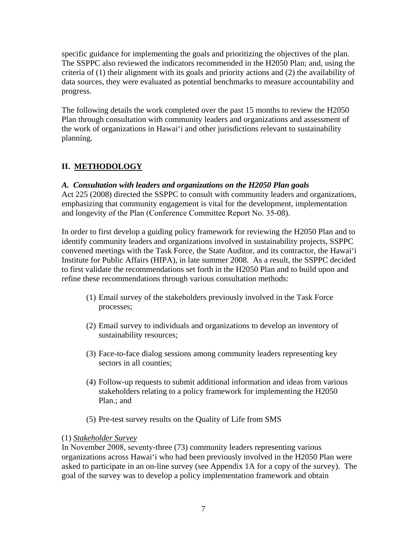specific guidance for implementing the goals and prioritizing the objectives of the plan. The SSPPC also reviewed the indicators recommended in the H2050 Plan; and, using the criteria of (1) their alignment with its goals and priority actions and (2) the availability of data sources, they were evaluated as potential benchmarks to measure accountability and progress.

The following details the work completed over the past 15 months to review the H2050 Plan through consultation with community leaders and organizations and assessment of the work of organizations in Hawai'i and other jurisdictions relevant to sustainability planning.

# **II. METHODOLOGY**

# *A. Consultation with leaders and organizations on the H2050 Plan goals*

Act 225 (2008) directed the SSPPC to consult with community leaders and organizations, emphasizing that community engagement is vital for the development, implementation and longevity of the Plan (Conference Committee Report No. 35-08).

In order to first develop a guiding policy framework for reviewing the H2050 Plan and to identify community leaders and organizations involved in sustainability projects, SSPPC convened meetings with the Task Force, the State Auditor, and its contractor, the Hawai'i Institute for Public Affairs (HIPA), in late summer 2008. As a result, the SSPPC decided to first validate the recommendations set forth in the H2050 Plan and to build upon and refine these recommendations through various consultation methods:

- (1) Email survey of the stakeholders previously involved in the Task Force processes;
- (2) Email survey to individuals and organizations to develop an inventory of sustainability resources;
- (3) Face-to-face dialog sessions among community leaders representing key sectors in all counties;
- (4) Follow-up requests to submit additional information and ideas from various stakeholders relating to a policy framework for implementing the H2050 Plan.; and
- (5) Pre-test survey results on the Quality of Life from SMS

# (1) *Stakeholder Survey*

In November 2008, seventy-three (73) community leaders representing various organizations across Hawai'i who had been previously involved in the H2050 Plan were asked to participate in an on-line survey (see Appendix 1A for a copy of the survey). The goal of the survey was to develop a policy implementation framework and obtain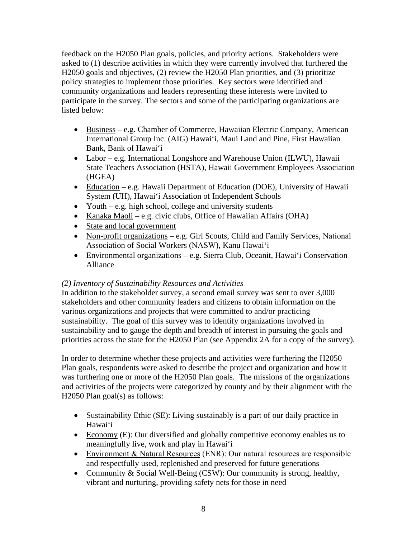feedback on the H2050 Plan goals, policies, and priority actions. Stakeholders were asked to (1) describe activities in which they were currently involved that furthered the H2050 goals and objectives, (2) review the H2050 Plan priorities, and (3) prioritize policy strategies to implement those priorities. Key sectors were identified and community organizations and leaders representing these interests were invited to participate in the survey. The sectors and some of the participating organizations are listed below:

- Business e.g. Chamber of Commerce, Hawaiian Electric Company, American International Group Inc. (AIG) Hawai'i, Maui Land and Pine, First Hawaiian Bank, Bank of Hawai'i
- Labor e.g. International Longshore and Warehouse Union (ILWU), Hawaii State Teachers Association (HSTA), Hawaii Government Employees Association (HGEA)
- Education e.g. Hawaii Department of Education (DOE), University of Hawaii System (UH), Hawai'i Association of Independent Schools
- Youth  $-e.g.$  high school, college and university students
- Kanaka Maoli e.g. civic clubs, Office of Hawaiian Affairs (OHA)
- State and local government
- Non-profit organizations e.g. Girl Scouts, Child and Family Services, National Association of Social Workers (NASW), Kanu Hawai'i
- Environmental organizations e.g. Sierra Club, Oceanit, Hawai'i Conservation Alliance

# *(2) Inventory of Sustainability Resources and Activities*

In addition to the stakeholder survey, a second email survey was sent to over 3,000 stakeholders and other community leaders and citizens to obtain information on the various organizations and projects that were committed to and/or practicing sustainability. The goal of this survey was to identify organizations involved in sustainability and to gauge the depth and breadth of interest in pursuing the goals and priorities across the state for the H2050 Plan (see Appendix 2A for a copy of the survey).

In order to determine whether these projects and activities were furthering the H2050 Plan goals, respondents were asked to describe the project and organization and how it was furthering one or more of the H2050 Plan goals. The missions of the organizations and activities of the projects were categorized by county and by their alignment with the H2050 Plan goal(s) as follows:

- Sustainability Ethic (SE): Living sustainably is a part of our daily practice in Hawai'i
- Economy (E): Our diversified and globally competitive economy enables us to meaningfully live, work and play in Hawai'i
- Environment & Natural Resources (ENR): Our natural resources are responsible and respectfully used, replenished and preserved for future generations
- Community & Social Well-Being (CSW): Our community is strong, healthy, vibrant and nurturing, providing safety nets for those in need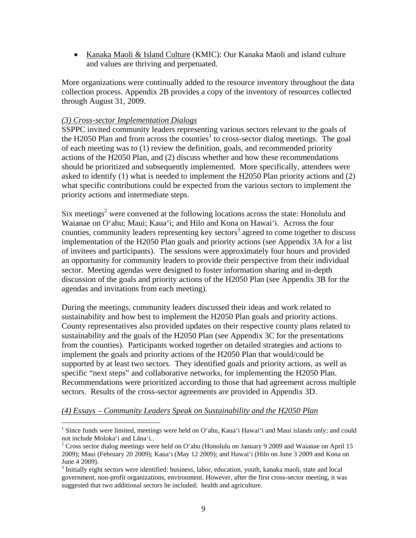• Kanaka Maoli & Island Culture (KMIC): Our Kanaka Maoli and island culture and values are thriving and perpetuated.

More organizations were continually added to the resource inventory throughout the data collection process. Appendix 2B provides a copy of the inventory of resources collected through August 31, 2009.

# *(3) Cross-sector Implementation Dialogs*

SSPPC invited community leaders representing various sectors relevant to the goals of the H2050 Plan and from across the counties<sup>1</sup> to cross-sector dialog meetings. The goal of each meeting was to (1) review the definition, goals, and recommended priority actions of the H2050 Plan, and (2) discuss whether and how these recommendations should be prioritized and subsequently implemented. More specifically, attendees were asked to identify (1) what is needed to implement the H2050 Plan priority actions and (2) what specific contributions could be expected from the various sectors to implement the priority actions and intermediate steps.

Six meetings<sup>2</sup> were convened at the following locations across the state: Honolulu and Waianae on O'ahu; Maui; Kaua'i; and Hilo and Kona on Hawai'i. Across the four counties, community leaders representing key sectors<sup>3</sup> agreed to come together to discuss implementation of the H2050 Plan goals and priority actions (see Appendix 3A for a list of invitees and participants). The sessions were approximately four hours and provided an opportunity for community leaders to provide their perspective from their individual sector. Meeting agendas were designed to foster information sharing and in-depth discussion of the goals and priority actions of the H2050 Plan (see Appendix 3B for the agendas and invitations from each meeting).

During the meetings, community leaders discussed their ideas and work related to sustainability and how best to implement the H2050 Plan goals and priority actions. County representatives also provided updates on their respective county plans related to sustainability and the goals of the H2050 Plan (see Appendix 3C for the presentations from the counties). Participants worked together on detailed strategies and actions to implement the goals and priority actions of the H2050 Plan that would/could be supported by at least two sectors. They identified goals and priority actions, as well as specific "next steps" and collaborative networks, for implementing the H2050 Plan. Recommendations were prioritized according to those that had agreement across multiple sectors. Results of the cross-sector agreements are provided in Appendix 3D.

## *(4) Essays – Community Leaders Speak on Sustainability and the H2050 Plan*

<sup>&</sup>lt;sup>1</sup> Since funds were limited, meetings were held on O'ahu, Kaua'i Hawai'i and Maui islands only; and could not include Moloka'i and Lāna'i..<br><sup>2</sup> Cross sector dialog meetings were held on O'ahu (Honolulu on January 9 2009 and Waianae on April 15

<sup>2009);</sup> Maui (February 20 2009); Kaua'i (May 12 2009); and Hawai'i (Hilo on June 3 2009 and Kona on June 4 2009).

<sup>&</sup>lt;sup>3</sup> Initially eight sectors were identified: business, labor, education, youth, kanaka maoli, state and local government, non-profit organizations, environment. However, after the first cross-sector meeting, it was suggested that two additional sectors be included: health and agriculture.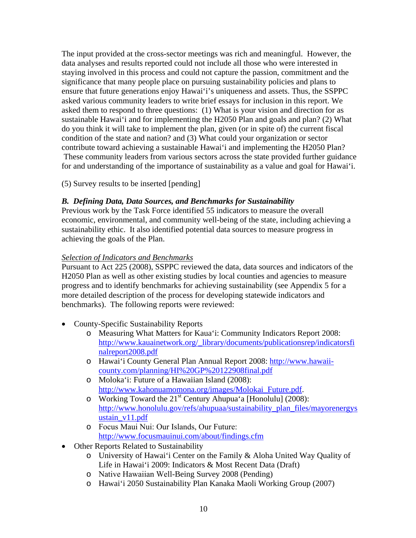The input provided at the cross-sector meetings was rich and meaningful. However, the data analyses and results reported could not include all those who were interested in staying involved in this process and could not capture the passion, commitment and the significance that many people place on pursuing sustainability policies and plans to ensure that future generations enjoy Hawai'i's uniqueness and assets. Thus, the SSPPC asked various community leaders to write brief essays for inclusion in this report. We asked them to respond to three questions: (1) What is your vision and direction for as sustainable Hawai'i and for implementing the H2050 Plan and goals and plan? (2) What do you think it will take to implement the plan, given (or in spite of) the current fiscal condition of the state and nation? and (3) What could your organization or sector contribute toward achieving a sustainable Hawai'i and implementing the H2050 Plan? These community leaders from various sectors across the state provided further guidance for and understanding of the importance of sustainability as a value and goal for Hawai'i.

(5) Survey results to be inserted [pending]

# *B. Defining Data, Data Sources, and Benchmarks for Sustainability*

Previous work by the Task Force identified 55 indicators to measure the overall economic, environmental, and community well-being of the state, including achieving a sustainability ethic. It also identified potential data sources to measure progress in achieving the goals of the Plan.

# *Selection of Indicators and Benchmarks*

Pursuant to Act 225 (2008), SSPPC reviewed the data, data sources and indicators of the H2050 Plan as well as other existing studies by local counties and agencies to measure progress and to identify benchmarks for achieving sustainability (see Appendix 5 for a more detailed description of the process for developing statewide indicators and benchmarks). The following reports were reviewed:

- County-Specific Sustainability Reports
	- o Measuring What Matters for Kaua'i: Community Indicators Report 2008: [http://www.kauainetwork.org/\\_library/documents/publicationsrep/indicatorsfi](http://www.kauainetwork.org/_library/documents/publicationsrep/indicatorsfinalreport2008.pdf) [nalreport2008.pdf](http://www.kauainetwork.org/_library/documents/publicationsrep/indicatorsfinalreport2008.pdf)
	- o Hawai'i County General Plan Annual Report 2008[: http://www.hawaii](http://www.hawaii-county.com/planning/HI%20GP%20122908final.pdf)[county.com/planning/HI%20GP%20122908final.pdf](http://www.hawaii-county.com/planning/HI%20GP%20122908final.pdf)
	- o Moloka'i: Future of a Hawaiian Island (2008): [http://www.kahonuamomona.org/images/Molokai\\_Future.pdf](http://www.kahonuamomona.org/images/Molokai_Future.pdf).
	- o Working Toward the  $21<sup>st</sup>$  Century Ahupua'a [Honolulu] (2008): [http://www.honolulu.gov/refs/ahupuaa/sustainability\\_plan\\_files/mayorenergys](http://www.honolulu.gov/refs/ahupuaa/sustainability_plan_files/mayorenergysustain_v11.pdf) [ustain\\_v11.pdf](http://www.honolulu.gov/refs/ahupuaa/sustainability_plan_files/mayorenergysustain_v11.pdf)
	- o Focus Maui Nui: Our Islands, Our Future: <http://www.focusmauinui.com/about/findings.cfm>
- Other Reports Related to Sustainability
	- o University of Hawai'i Center on the Family & Aloha United Way Quality of Life in Hawai'i 2009: Indicators & Most Recent Data (Draft)
	- o Native Hawaiian Well-Being Survey 2008 (Pending)
	- o Hawai'i 2050 Sustainability Plan Kanaka Maoli Working Group (2007)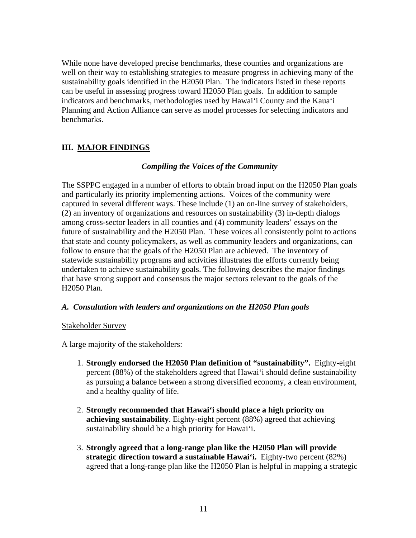While none have developed precise benchmarks, these counties and organizations are well on their way to establishing strategies to measure progress in achieving many of the sustainability goals identified in the H2050 Plan. The indicators listed in these reports can be useful in assessing progress toward H2050 Plan goals. In addition to sample indicators and benchmarks, methodologies used by Hawai'i County and the Kaua'i Planning and Action Alliance can serve as model processes for selecting indicators and benchmarks.

# **III. MAJOR FINDINGS**

# *Compiling the Voices of the Community*

The SSPPC engaged in a number of efforts to obtain broad input on the H2050 Plan goals and particularly its priority implementing actions. Voices of the community were captured in several different ways. These include (1) an on-line survey of stakeholders, (2) an inventory of organizations and resources on sustainability (3) in-depth dialogs among cross-sector leaders in all counties and (4) community leaders' essays on the future of sustainability and the H2050 Plan. These voices all consistently point to actions that state and county policymakers, as well as community leaders and organizations, can follow to ensure that the goals of the H2050 Plan are achieved. The inventory of statewide sustainability programs and activities illustrates the efforts currently being undertaken to achieve sustainability goals. The following describes the major findings that have strong support and consensus the major sectors relevant to the goals of the H2050 Plan.

## *A. Consultation with leaders and organizations on the H2050 Plan goals*

## Stakeholder Survey

A large majority of the stakeholders:

- 1. **Strongly endorsed the H2050 Plan definition of "sustainability".** Eighty-eight percent (88%) of the stakeholders agreed that Hawai'i should define sustainability as pursuing a balance between a strong diversified economy, a clean environment, and a healthy quality of life.
- 2. **Strongly recommended that Hawai'i should place a high priority on achieving sustainability**. Eighty-eight percent (88%) agreed that achieving sustainability should be a high priority for Hawai'i.
- 3. **Strongly agreed that a long-range plan like the H2050 Plan will provide strategic direction toward a sustainable Hawai'i.** Eighty-two percent (82%) agreed that a long-range plan like the H2050 Plan is helpful in mapping a strategic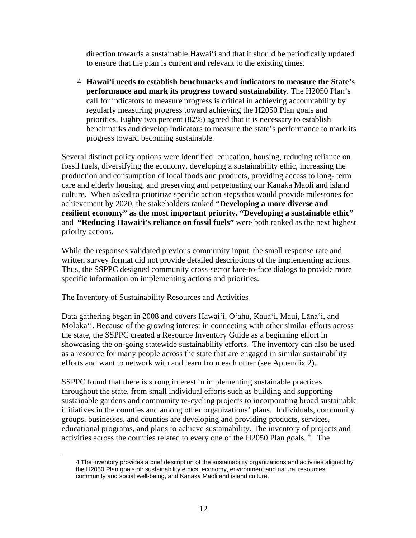direction towards a sustainable Hawai'i and that it should be periodically updated to ensure that the plan is current and relevant to the existing times.

4. **Hawai'i needs to establish benchmarks and indicators to measure the State's performance and mark its progress toward sustainability**. The H2050 Plan's call for indicators to measure progress is critical in achieving accountability by regularly measuring progress toward achieving the H2050 Plan goals and priorities. Eighty two percent (82%) agreed that it is necessary to establish benchmarks and develop indicators to measure the state's performance to mark its progress toward becoming sustainable.

Several distinct policy options were identified: education, housing, reducing reliance on fossil fuels, diversifying the economy, developing a sustainability ethic, increasing the production and consumption of local foods and products, providing access to long- term care and elderly housing, and preserving and perpetuating our Kanaka Maoli and island culture. When asked to prioritize specific action steps that would provide milestones for achievement by 2020, the stakeholders ranked **"Developing a more diverse and resilient economy" as the most important priority. "Developing a sustainable ethic"** and **"Reducing Hawai'i's reliance on fossil fuels"** were both ranked as the next highest priority actions.

While the responses validated previous community input, the small response rate and written survey format did not provide detailed descriptions of the implementing actions. Thus, the SSPPC designed community cross-sector face-to-face dialogs to provide more specific information on implementing actions and priorities.

## The Inventory of Sustainability Resources and Activities

 $\overline{a}$ 

Data gathering began in 2008 and covers Hawai'i, O'ahu, Kaua'i, Maui, Lāna'i, and Moloka'i. Because of the growing interest in connecting with other similar efforts across the state, the SSPPC created a Resource Inventory Guide as a beginning effort in showcasing the on-going statewide sustainability efforts. The inventory can also be used as a resource for many people across the state that are engaged in similar sustainability efforts and want to network with and learn from each other (see Appendix 2).

SSPPC found that there is strong interest in implementing sustainable practices throughout the state, from small individual efforts such as building and supporting sustainable gardens and community re-cycling projects to incorporating broad sustainable initiatives in the counties and among other organizations' plans. Individuals, community groups, businesses, and counties are developing and providing products, services, educational programs, and plans to achieve sustainability. The inventory of projects and activities across the counties related to every one of the H2050 Plan goals.<sup>4</sup>. The

<sup>4</sup> The inventory provides a brief description of the sustainability organizations and activities aligned by the H2050 Plan goals of: sustainability ethics, economy, environment and natural resources, community and social well-being, and Kanaka Maoli and island culture.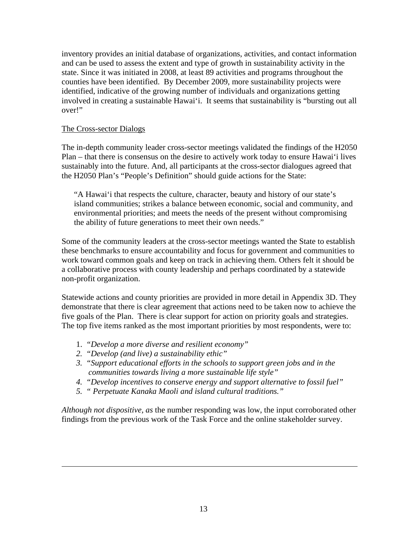inventory provides an initial database of organizations, activities, and contact information and can be used to assess the extent and type of growth in sustainability activity in the state. Since it was initiated in 2008, at least 89 activities and programs throughout the counties have been identified. By December 2009, more sustainability projects were identified, indicative of the growing number of individuals and organizations getting involved in creating a sustainable Hawai'i. It seems that sustainability is "bursting out all over!"

# The Cross-sector Dialogs

 $\overline{a}$ 

The in-depth community leader cross-sector meetings validated the findings of the H2050 Plan – that there is consensus on the desire to actively work today to ensure Hawai'i lives sustainably into the future. And, all participants at the cross-sector dialogues agreed that the H2050 Plan's "People's Definition" should guide actions for the State:

"A Hawai'i that respects the culture, character, beauty and history of our state's island communities; strikes a balance between economic, social and community, and environmental priorities; and meets the needs of the present without compromising the ability of future generations to meet their own needs."

Some of the community leaders at the cross-sector meetings wanted the State to establish these benchmarks to ensure accountability and focus for government and communities to work toward common goals and keep on track in achieving them. Others felt it should be a collaborative process with county leadership and perhaps coordinated by a statewide non-profit organization.

Statewide actions and county priorities are provided in more detail in Appendix 3D. They demonstrate that there is clear agreement that actions need to be taken now to achieve the five goals of the Plan. There is clear support for action on priority goals and strategies. The top five items ranked as the most important priorities by most respondents, were to:

- 1. *"Develop a more diverse and resilient economy"*
- *2. "Develop (and live) a sustainability ethic"*
- *3. "Support educational efforts in the schools to support green jobs and in the communities towards living a more sustainable life style"*
- *4. "Develop incentives to conserve energy and support alternative to fossil fuel"*
- *5. " Perpetuate Kanaka Maoli and island cultural traditions."*

*Although not dispositive, as* the number responding was low, the input corroborated other findings from the previous work of the Task Force and the online stakeholder survey.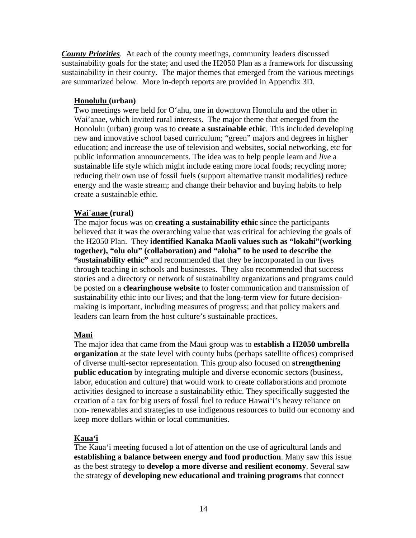*County Priorities.* At each of the county meetings, community leaders discussed sustainability goals for the state; and used the H2050 Plan as a framework for discussing sustainability in their county. The major themes that emerged from the various meetings are summarized below. More in-depth reports are provided in Appendix 3D.

# **Honolulu (urban)**

Two meetings were held for O'ahu, one in downtown Honolulu and the other in Wai'anae, which invited rural interests. The major theme that emerged from the Honolulu (urban) group was to **create a sustainable ethic**. This included developing new and innovative school based curriculum; "green" majors and degrees in higher education; and increase the use of television and websites, social networking, etc for public information announcements. The idea was to help people learn and *live* a sustainable life style which might include eating more local foods; recycling more; reducing their own use of fossil fuels (support alternative transit modalities) reduce energy and the waste stream; and change their behavior and buying habits to help create a sustainable ethic.

# **Wai`anae (rural)**

The major focus was on **creating a sustainability ethic** since the participants believed that it was the overarching value that was critical for achieving the goals of the H2050 Plan. They **identified Kanaka Maoli values such as "lokahi"(working together), "olu olu" (collaboration) and "aloha" to be used to describe the "sustainability ethic"** and recommended that they be incorporated in our lives through teaching in schools and businesses. They also recommended that success stories and a directory or network of sustainability organizations and programs could be posted on a **clearinghouse website** to foster communication and transmission of sustainability ethic into our lives; and that the long-term view for future decisionmaking is important, including measures of progress; and that policy makers and leaders can learn from the host culture's sustainable practices.

# **Maui**

The major idea that came from the Maui group was to **establish a H2050 umbrella organization** at the state level with county hubs (perhaps satellite offices) comprised of diverse multi-sector representation. This group also focused on **strengthening public education** by integrating multiple and diverse economic sectors (business, labor, education and culture) that would work to create collaborations and promote activities designed to increase a sustainability ethic. They specifically suggested the creation of a tax for big users of fossil fuel to reduce Hawai'i's heavy reliance on non- renewables and strategies to use indigenous resources to build our economy and keep more dollars within or local communities.

# **Kaua'i**

The Kaua'i meeting focused a lot of attention on the use of agricultural lands and **establishing a balance between energy and food production**. Many saw this issue as the best strategy to **develop a more diverse and resilient economy**. Several saw the strategy of **developing new educational and training programs** that connect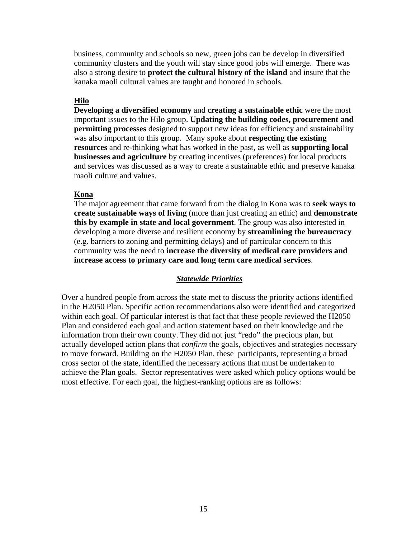business, community and schools so new, green jobs can be develop in diversified community clusters and the youth will stay since good jobs will emerge. There was also a strong desire to **protect the cultural history of the island** and insure that the kanaka maoli cultural values are taught and honored in schools.

# **Hilo**

**Developing a diversified economy** and **creating a sustainable ethic** were the most important issues to the Hilo group. **Updating the building codes, procurement and permitting processes** designed to support new ideas for efficiency and sustainability was also important to this group. Many spoke about **respecting the existing resources** and re-thinking what has worked in the past, as well as **supporting local businesses and agriculture** by creating incentives (preferences) for local products and services was discussed as a way to create a sustainable ethic and preserve kanaka maoli culture and values.

#### **Kona**

The major agreement that came forward from the dialog in Kona was to **seek ways to create sustainable ways of living** (more than just creating an ethic) and **demonstrate this by example in state and local government**. The group was also interested in developing a more diverse and resilient economy by **streamlining the bureaucracy** (e.g. barriers to zoning and permitting delays) and of particular concern to this community was the need to **increase the diversity of medical care providers and increase access to primary care and long term care medical services**.

## *Statewide Priorities*

Over a hundred people from across the state met to discuss the priority actions identified in the H2050 Plan. Specific action recommendations also were identified and categorized within each goal. Of particular interest is that fact that these people reviewed the H2050 Plan and considered each goal and action statement based on their knowledge and the information from their own county. They did not just "redo" the precious plan, but actually developed action plans that *confirm* the goals, objectives and strategies necessary to move forward. Building on the H2050 Plan, these participants, representing a broad cross sector of the state, identified the necessary actions that must be undertaken to achieve the Plan goals. Sector representatives were asked which policy options would be most effective. For each goal, the highest-ranking options are as follows: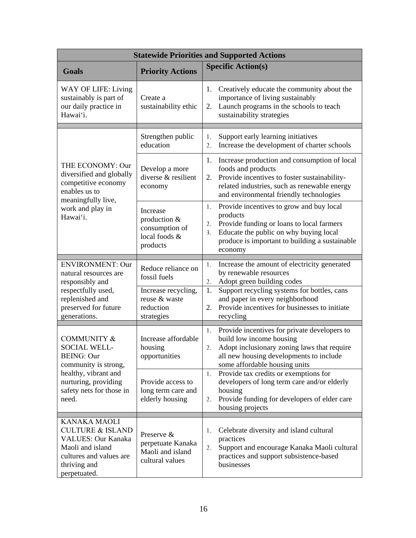| <b>Statewide Priorities and Supported Actions</b>                                                                                                              |                                                                         |                                                                                                                                                                                                                                        |  |
|----------------------------------------------------------------------------------------------------------------------------------------------------------------|-------------------------------------------------------------------------|----------------------------------------------------------------------------------------------------------------------------------------------------------------------------------------------------------------------------------------|--|
| <b>Goals</b>                                                                                                                                                   | <b>Priority Actions</b>                                                 | <b>Specific Action(s)</b>                                                                                                                                                                                                              |  |
| WAY OF LIFE: Living<br>sustainably is part of<br>our daily practice in<br>Hawai'i.                                                                             | Create a<br>sustainability ethic                                        | Creatively educate the community about the<br>1.<br>importance of living sustainably<br>Launch programs in the schools to teach<br>2.<br>sustainability strategies                                                                     |  |
|                                                                                                                                                                | Strengthen public<br>education                                          | Support early learning initiatives<br>1.<br>Increase the development of charter schools<br>2.                                                                                                                                          |  |
| THE ECONOMY: Our<br>diversified and globally<br>competitive economy<br>enables us to<br>meaningfully live,                                                     | Develop a more<br>diverse & resilient<br>economy                        | Increase production and consumption of local<br>1.<br>foods and products<br>Provide incentives to foster sustainability-<br>2.<br>related industries, such as renewable energy<br>and environmental friendly technologies              |  |
| work and play in<br>Hawai'i.                                                                                                                                   | Increase<br>production &<br>consumption of<br>local foods &<br>products | Provide incentives to grow and buy local<br>1.<br>products<br>Provide funding or loans to local farmers<br>2.<br>Educate the public on why buying local<br>3 <sub>1</sub><br>produce is important to building a sustainable<br>economy |  |
| <b>ENVIRONMENT: Our</b><br>natural resources are<br>responsibly and                                                                                            | Reduce reliance on<br>fossil fuels                                      | Increase the amount of electricity generated<br>1.<br>by renewable resources<br>Adopt green building codes<br>2.                                                                                                                       |  |
| respectfully used,<br>replenished and<br>preserved for future<br>generations.                                                                                  | Increase recycling,<br>reuse & waste<br>reduction<br>strategies         | Support recycling systems for bottles, cans<br>1.<br>and paper in every neighborhood<br>Provide incentives for businesses to initiate<br>2.<br>recycling                                                                               |  |
| <b>COMMUNITY &amp;</b><br><b>SOCIAL WELL-</b><br><b>BEING: Our</b><br>community is strong,                                                                     | Increase affordable<br>housing<br>opportunities                         | Provide incentives for private developers to<br>1.<br>build low income housing<br>Adopt inclusionary zoning laws that require<br>2.<br>all new housing developments to include<br>some affordable housing units                        |  |
| healthy, vibrant and<br>nurturing, providing<br>safety nets for those in<br>need.                                                                              | Provide access to<br>long term care and<br>elderly housing              | 1. Provide tax credits or exemptions for<br>developers of long term care and/or elderly<br>housing<br>Provide funding for developers of elder care<br>2.<br>housing projects                                                           |  |
| <b>KANAKA MAOLI</b><br><b>CULTURE &amp; ISLAND</b><br><b>VALUES: Our Kanaka</b><br>Maoli and island<br>cultures and values are<br>thriving and<br>perpetuated. | Preserve &<br>perpetuate Kanaka<br>Maoli and island<br>cultural values  | Celebrate diversity and island cultural<br>1.<br>practices<br>Support and encourage Kanaka Maoli cultural<br>2.<br>practices and support subsistence-based<br>businesses                                                               |  |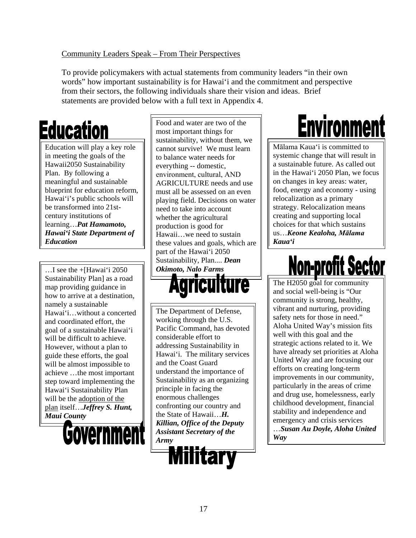# Community Leaders Speak – From Their Perspectives

To provide policymakers with actual statements from community leaders "in their own words" how important sustainability is for Hawai'i and the commitment and perspective from their sectors, the following individuals share their vision and ideas. Brief statements are provided below with a full text in Appendix 4.

# **Education**

Education will play a key role in meeting the goals of the Hawaii2050 Sustainability Plan. By following a meaningful and sustainable blueprint for education reform, Hawai'i's public schools will be transformed into 21stcentury institutions of learning…*Pat Hamamoto, Hawai'i State Department of Education*

…I see the +[Hawai'i 2050 Sustainability Plan] as a road map providing guidance in how to arrive at a destination, namely a sustainable Hawai'i…without a concerted and coordinated effort, the goal of a sustainable Hawai'i will be difficult to achieve. However, without a plan to guide these efforts, the goal will be almost impossible to achieve …the most important step toward implementing the Hawai'i Sustainability Plan will be the adoption of the plan itself…*Jeffrey S. Hunt, Maui County*



Food and water are two of the most important things for sustainability, without them, we cannot survive! We must learn to balance water needs for everything -- domestic, environment, cultural, AND AGRICULTURE needs and use must all be assessed on an even playing field. Decisions on water need to take into account whether the agricultural production is good for Hawaii…we need to sustain these values and goals, which are part of the Hawai'i 2050 Sustainability, Plan.... *Dean Okimoto, Nalo Farms*



The Department of Defense, working through the U.S. Pacific Command, has devoted considerable effort to addressing Sustainability in Hawai'i. The military services and the Coast Guard understand the importance of Sustainability as an organizing principle in facing the enormous challenges confronting our country and the State of Hawaii…*H. Killian, Office of the Deputy Assistant Secretary of the Army* 



# **Environment**

Mālama Kaua'i is committed to systemic change that will result in a sustainable future. As called out in the Hawai'i 2050 Plan, we focus on changes in key areas: water, food, energy and economy - using relocalization as a primary strategy. Relocalization means creating and supporting local choices for that which sustains us…*Keone Kealoha, Mālama Kaua'i*

# <u>Non-profit Sec</u>

The H2050 goal for community and social well-being is "Our community is strong, healthy, vibrant and nurturing, providing safety nets for those in need." Aloha United Way's mission fits well with this goal and the strategic actions related to it. We have already set priorities at Aloha United Way and are focusing our efforts on creating long-term improvements in our community, particularly in the areas of crime and drug use, homelessness, early childhood development, financial stability and independence and emergency and crisis services …*Susan Au Doyle, Aloha United Way*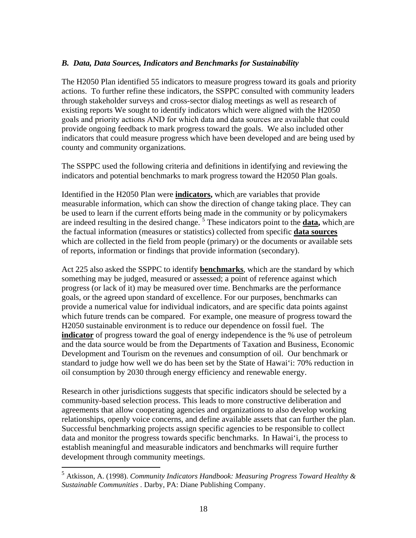# *B. Data, Data Sources, Indicators and Benchmarks for Sustainability*

The H2050 Plan identified 55 indicators to measure progress toward its goals and priority actions. To further refine these indicators, the SSPPC consulted with community leaders through stakeholder surveys and cross-sector dialog meetings as well as research of existing reports We sought to identify indicators which were aligned with the H2050 goals and priority actions AND for which data and data sources are available that could provide ongoing feedback to mark progress toward the goals. We also included other indicators that could measure progress which have been developed and are being used by county and community organizations.

The SSPPC used the following criteria and definitions in identifying and reviewing the indicators and potential benchmarks to mark progress toward the H2050 Plan goals.

Identified in the H2050 Plan were **indicators,** which are variables that provide measurable information, which can show the direction of change taking place. They can be used to learn if the current efforts being made in the community or by policymakers are indeed resulting in the desired change. <sup>5</sup> These indicators point to the **data,** which are the factual information (measures or statistics) collected from specific **data sources** which are collected in the field from people (primary) or the documents or available sets of reports, information or findings that provide information (secondary).

Act 225 also asked the SSPPC to identify **benchmarks**, which are the standard by which something may be judged, measured or assessed; a point of reference against which progress (or lack of it) may be measured over time. Benchmarks are the performance goals, or the agreed upon standard of excellence. For our purposes, benchmarks can provide a numerical value for individual indicators, and are specific data points against which future trends can be compared. For example, one measure of progress toward the H2050 sustainable environment is to reduce our dependence on fossil fuel. The **indicator** of progress toward the goal of energy independence is the % use of petroleum and the data source would be from the Departments of Taxation and Business, Economic Development and Tourism on the revenues and consumption of oil. Our benchmark or standard to judge how well we do has been set by the State of Hawai'i: 70% reduction in oil consumption by 2030 through energy efficiency and renewable energy.

Research in other jurisdictions suggests that specific indicators should be selected by a community-based selection process. This leads to more constructive deliberation and agreements that allow cooperating agencies and organizations to also develop working relationships, openly voice concerns, and define available assets that can further the plan. Successful benchmarking projects assign specific agencies to be responsible to collect data and monitor the progress towards specific benchmarks. In Hawai'i, the process to establish meaningful and measurable indicators and benchmarks will require further development through community meetings.

 <sup>5</sup> Atkisson, A. (1998). *Community Indicators Handbook: Measuring Progress Toward Healthy & Sustainable Communities .* Darby, PA: Diane Publishing Company.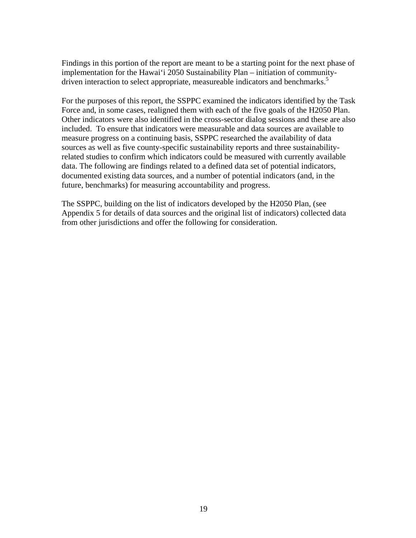Findings in this portion of the report are meant to be a starting point for the next phase of implementation for the Hawai'i 2050 Sustainability Plan – initiation of communitydriven interaction to select appropriate, measureable indicators and benchmarks.<sup>5</sup>

For the purposes of this report, the SSPPC examined the indicators identified by the Task Force and, in some cases, realigned them with each of the five goals of the H2050 Plan. Other indicators were also identified in the cross-sector dialog sessions and these are also included. To ensure that indicators were measurable and data sources are available to measure progress on a continuing basis, SSPPC researched the availability of data sources as well as five county-specific sustainability reports and three sustainabilityrelated studies to confirm which indicators could be measured with currently available data. The following are findings related to a defined data set of potential indicators, documented existing data sources, and a number of potential indicators (and, in the future, benchmarks) for measuring accountability and progress.

The SSPPC, building on the list of indicators developed by the H2050 Plan, (see Appendix 5 for details of data sources and the original list of indicators) collected data from other jurisdictions and offer the following for consideration.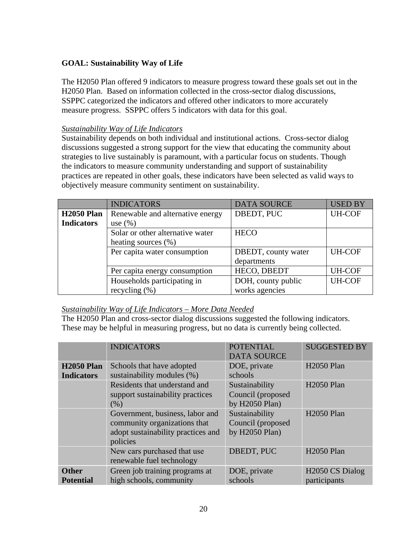# **GOAL: Sustainability Way of Life**

The H2050 Plan offered 9 indicators to measure progress toward these goals set out in the H2050 Plan. Based on information collected in the cross-sector dialog discussions, SSPPC categorized the indicators and offered other indicators to more accurately measure progress. SSPPC offers 5 indicators with data for this goal.

# *Sustainability Way of Life Indicators*

Sustainability depends on both individual and institutional actions. Cross-sector dialog discussions suggested a strong support for the view that educating the community about strategies to live sustainably is paramount, with a particular focus on students. Though the indicators to measure community understanding and support of sustainability practices are repeated in other goals, these indicators have been selected as valid ways to objectively measure community sentiment on sustainability.

|                   | <b>INDICATORS</b>                | <b>DATA SOURCE</b>  | <b>USED BY</b> |
|-------------------|----------------------------------|---------------------|----------------|
| <b>H2050 Plan</b> | Renewable and alternative energy | DBEDT, PUC          | <b>UH-COF</b>  |
| <b>Indicators</b> | use $(\% )$                      |                     |                |
|                   | Solar or other alternative water | <b>HECO</b>         |                |
|                   | heating sources (%)              |                     |                |
|                   | Per capita water consumption     | DBEDT, county water | <b>UH-COF</b>  |
|                   |                                  | departments         |                |
|                   | Per capita energy consumption    | HECO, DBEDT         | <b>UH-COF</b>  |
|                   | Households participating in      | DOH, county public  | <b>UH-COF</b>  |
|                   | recycling $(\%)$                 | works agencies      |                |

# *Sustainability Way of Life Indicators – More Data Needed*

The H2050 Plan and cross-sector dialog discussions suggested the following indicators. These may be helpful in measuring progress, but no data is currently being collected.

|                   | <b>INDICATORS</b>                  | <b>POTENTIAL</b>   | <b>SUGGESTED BY</b>         |
|-------------------|------------------------------------|--------------------|-----------------------------|
|                   |                                    | <b>DATA SOURCE</b> |                             |
| <b>H2050 Plan</b> | Schools that have adopted          | DOE, private       | <b>H2050 Plan</b>           |
| <b>Indicators</b> | sustainability modules (%)         | schools            |                             |
|                   | Residents that understand and      | Sustainability     | <b>H2050 Plan</b>           |
|                   | support sustainability practices   | Council (proposed  |                             |
|                   | (% )                               | by H2050 Plan)     |                             |
|                   | Government, business, labor and    | Sustainability     | <b>H2050 Plan</b>           |
|                   | community organizations that       | Council (proposed  |                             |
|                   | adopt sustainability practices and | by H2050 Plan)     |                             |
|                   | policies                           |                    |                             |
|                   | New cars purchased that use        | DBEDT, PUC         | <b>H2050 Plan</b>           |
|                   | renewable fuel technology          |                    |                             |
| <b>Other</b>      | Green job training programs at     | DOE, private       | H <sub>2050</sub> CS Dialog |
| <b>Potential</b>  | high schools, community            | schools            | participants                |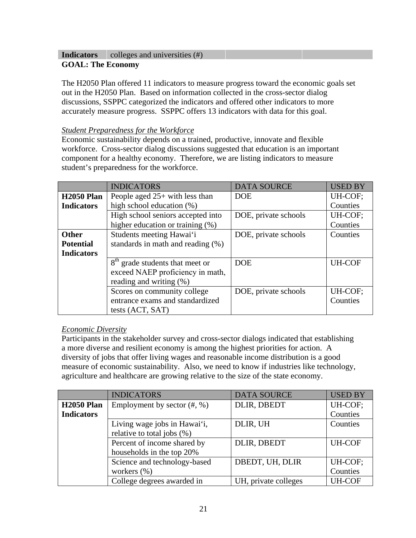# **Indicators** colleges and universities (#) **GOAL: The Economy**

The H2050 Plan offered 11 indicators to measure progress toward the economic goals set out in the H2050 Plan. Based on information collected in the cross-sector dialog discussions, SSPPC categorized the indicators and offered other indicators to more accurately measure progress. SSPPC offers 13 indicators with data for this goal.

# *Student Preparedness for the Workforce*

Economic sustainability depends on a trained, productive, innovate and flexible workforce. Cross-sector dialog discussions suggested that education is an important component for a healthy economy. Therefore, we are listing indicators to measure student's preparedness for the workforce.

|                   | <b>INDICATORS</b>                           | <b>DATA SOURCE</b>   | <b>USED BY</b> |
|-------------------|---------------------------------------------|----------------------|----------------|
| <b>H2050 Plan</b> | People aged $25+$ with less than            | <b>DOE</b>           | UH-COF;        |
| <b>Indicators</b> | high school education (%)                   |                      | Counties       |
|                   | High school seniors accepted into           | DOE, private schools | UH-COF;        |
|                   | higher education or training $(\%)$         |                      | Counties       |
| <b>Other</b>      | Students meeting Hawai'i                    | DOE, private schools | Counties       |
| <b>Potential</b>  | standards in math and reading (%)           |                      |                |
| <b>Indicators</b> |                                             |                      |                |
|                   | 8 <sup>th</sup> grade students that meet or | <b>DOE</b>           | <b>UH-COF</b>  |
|                   | exceed NAEP proficiency in math,            |                      |                |
|                   | reading and writing (%)                     |                      |                |
|                   | Scores on community college                 | DOE, private schools | UH-COF;        |
|                   | entrance exams and standardized             |                      | Counties       |
|                   | tests (ACT, SAT)                            |                      |                |

## *Economic Diversity*

Participants in the stakeholder survey and cross-sector dialogs indicated that establishing a more diverse and resilient economy is among the highest priorities for action. A diversity of jobs that offer living wages and reasonable income distribution is a good measure of economic sustainability. Also, we need to know if industries like technology, agriculture and healthcare are growing relative to the size of the state economy.

|                   | <b>INDICATORS</b>              | <b>DATA SOURCE</b>   | <b>USED BY</b> |
|-------------------|--------------------------------|----------------------|----------------|
| <b>H2050 Plan</b> | Employment by sector $(\#,\%)$ | DLIR, DBEDT          | UH-COF;        |
| <b>Indicators</b> |                                |                      | Counties       |
|                   | Living wage jobs in Hawai'i,   | DLIR, UH             | Counties       |
|                   | relative to total jobs (%)     |                      |                |
|                   | Percent of income shared by    | DLIR, DBEDT          | <b>UH-COF</b>  |
|                   | households in the top 20%      |                      |                |
|                   | Science and technology-based   | DBEDT, UH, DLIR      | UH-COF;        |
|                   | workers $(\%)$                 |                      | Counties       |
|                   | College degrees awarded in     | UH, private colleges | <b>UH-COF</b>  |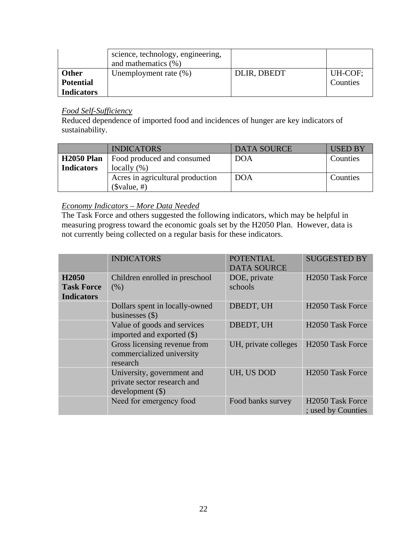|                   | science, technology, engineering,<br>and mathematics $(\% )$ |             |          |
|-------------------|--------------------------------------------------------------|-------------|----------|
| <b>Other</b>      | Unemployment rate $(\%)$                                     | DLIR, DBEDT | UH-COF;  |
| <b>Potential</b>  |                                                              |             | Counties |
| <b>Indicators</b> |                                                              |             |          |

# *Food Self-Sufficiency*

Reduced dependence of imported food and incidences of hunger are key indicators of sustainability.

|                   | <b>INDICATORS</b>                | <b>DATA SOURCE</b> | <b>USED BY</b> |
|-------------------|----------------------------------|--------------------|----------------|
| <b>H2050 Plan</b> | Food produced and consumed       | <b>DOA</b>         | Counties       |
| <b>Indicators</b> | locally $(\%)$                   |                    |                |
|                   | Acres in agricultural production | <b>DOA</b>         | Counties       |
|                   | $(\$value, #)$                   |                    |                |

# *Economy Indicators – More Data Needed*

The Task Force and others suggested the following indicators, which may be helpful in measuring progress toward the economic goals set by the H2050 Plan. However, data is not currently being collected on a regular basis for these indicators.

|                                                             | <b>INDICATORS</b>                                                          | <b>POTENTIAL</b><br><b>DATA SOURCE</b> | <b>SUGGESTED BY</b>                                |
|-------------------------------------------------------------|----------------------------------------------------------------------------|----------------------------------------|----------------------------------------------------|
| H <sub>2050</sub><br><b>Task Force</b><br><b>Indicators</b> | Children enrolled in preschool<br>(% )                                     | DOE, private<br>schools                | H <sub>2050</sub> Task Force                       |
|                                                             | Dollars spent in locally-owned<br>businesses $(\$)$                        | DBEDT, UH                              | H <sub>2050</sub> Task Force                       |
|                                                             | Value of goods and services<br>imported and exported (\$)                  | DBEDT, UH                              | H <sub>2050</sub> Task Force                       |
|                                                             | Gross licensing revenue from<br>commercialized university<br>research      | UH, private colleges                   | H <sub>2050</sub> Task Force                       |
|                                                             | University, government and<br>private sector research and<br>development() | UH, US DOD                             | H <sub>2050</sub> Task Force                       |
|                                                             | Need for emergency food                                                    | Food banks survey                      | H <sub>2050</sub> Task Force<br>; used by Counties |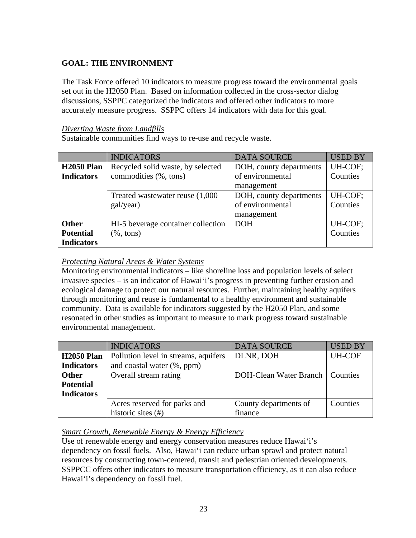# **GOAL: THE ENVIRONMENT**

The Task Force offered 10 indicators to measure progress toward the environmental goals set out in the H2050 Plan. Based on information collected in the cross-sector dialog discussions, SSPPC categorized the indicators and offered other indicators to more accurately measure progress. SSPPC offers 14 indicators with data for this goal.

# *Diverting Waste from Landfills*

Sustainable communities find ways to re-use and recycle waste.

|                   | <b>INDICATORS</b>                  | <b>DATA SOURCE</b>      | <b>USED BY</b> |
|-------------------|------------------------------------|-------------------------|----------------|
| <b>H2050 Plan</b> | Recycled solid waste, by selected  | DOH, county departments | UH-COF;        |
| <b>Indicators</b> | commodities (%, tons)              | of environmental        | Counties       |
|                   |                                    | management              |                |
|                   | Treated wastewater reuse (1,000)   | DOH, county departments | UH-COF;        |
|                   | gal/year)                          | of environmental        | Counties       |
|                   |                                    | management              |                |
| Other             | HI-5 beverage container collection | <b>DOH</b>              | UH-COF;        |
| <b>Potential</b>  | $(\%$ , tons)                      |                         | Counties       |
| <b>Indicators</b> |                                    |                         |                |

# *Protecting Natural Areas & Water Systems*

Monitoring environmental indicators – like shoreline loss and population levels of select invasive species – is an indicator of Hawai'i's progress in preventing further erosion and ecological damage to protect our natural resources. Further, maintaining healthy aquifers through monitoring and reuse is fundamental to a healthy environment and sustainable community. Data is available for indicators suggested by the H2050 Plan, and some resonated in other studies as important to measure to mark progress toward sustainable environmental management.

|                   | <b>INDICATORS</b>                    | <b>DATA SOURCE</b>            | <b>USED BY</b> |
|-------------------|--------------------------------------|-------------------------------|----------------|
| <b>H2050 Plan</b> | Pollution level in streams, aquifers | DLNR, DOH                     | <b>UH-COF</b>  |
| <b>Indicators</b> | and coastal water (%, ppm)           |                               |                |
| <b>Other</b>      | Overall stream rating                | <b>DOH-Clean Water Branch</b> | Counties       |
| <b>Potential</b>  |                                      |                               |                |
| <b>Indicators</b> |                                      |                               |                |
|                   | Acres reserved for parks and         | County departments of         | Counties       |
|                   | historic sites $(\#)$                | finance                       |                |

# *Smart Growth, Renewable Energy & Energy Efficiency*

Use of renewable energy and energy conservation measures reduce Hawai'i's dependency on fossil fuels. Also, Hawai'i can reduce urban sprawl and protect natural resources by constructing town-centered, transit and pedestrian oriented developments. SSPPCC offers other indicators to measure transportation efficiency, as it can also reduce Hawai'i's dependency on fossil fuel.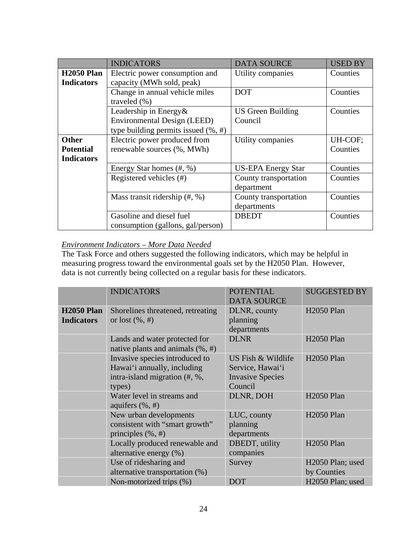|                   | <b>INDICATORS</b>                        | <b>DATA SOURCE</b>        | <b>USED BY</b> |
|-------------------|------------------------------------------|---------------------------|----------------|
| <b>H2050 Plan</b> | Electric power consumption and           | Utility companies         | Counties       |
| <b>Indicators</b> | capacity (MWh sold, peak)                |                           |                |
|                   | Change in annual vehicle miles           | <b>DOT</b>                | Counties       |
|                   | traveled $(\% )$                         |                           |                |
|                   | Leadership in Energy&                    | <b>US Green Building</b>  | Counties       |
|                   | <b>Environmental Design (LEED)</b>       | Council                   |                |
|                   | type building permits issued $(\% , \#)$ |                           |                |
| <b>Other</b>      | Electric power produced from             | Utility companies         | UH-COF;        |
| <b>Potential</b>  | renewable sources (%, MWh)               |                           | Counties       |
| <b>Indicators</b> |                                          |                           |                |
|                   | Energy Star homes (#, %)                 | <b>US-EPA Energy Star</b> | Counties       |
|                   | Registered vehicles (#)                  | County transportation     | Counties       |
|                   |                                          | department                |                |
|                   | Mass transit ridership $(\#,\%)$         | County transportation     | Counties       |
|                   |                                          | departments               |                |
|                   | Gasoline and diesel fuel                 | <b>DBEDT</b>              | Counties       |
|                   | consumption (gallons, gal/person)        |                           |                |

# *Environment Indicators – More Data Needed*

The Task Force and others suggested the following indicators, which may be helpful in measuring progress toward the environmental goals set by the H2050 Plan. However, data is not currently being collected on a regular basis for these indicators.

|                   | <b>INDICATORS</b>                    | <b>POTENTIAL</b>        | <b>SUGGESTED BY</b>          |
|-------------------|--------------------------------------|-------------------------|------------------------------|
|                   |                                      | <b>DATA SOURCE</b>      |                              |
| <b>H2050 Plan</b> | Shorelines threatened, retreating    | DLNR, county            | <b>H2050 Plan</b>            |
| <b>Indicators</b> | or lost $(\%, \#)$                   | planning                |                              |
|                   |                                      | departments             |                              |
|                   | Lands and water protected for        | <b>DLNR</b>             | <b>H2050 Plan</b>            |
|                   | native plants and animals $(\%, \#)$ |                         |                              |
|                   | Invasive species introduced to       | US Fish & Wildlife      | <b>H2050 Plan</b>            |
|                   | Hawai'i annually, including          | Service, Hawai'i        |                              |
|                   | intra-island migration (#, %,        | <b>Invasive Species</b> |                              |
|                   | types)                               | Council                 |                              |
|                   | Water level in streams and           | DLNR, DOH               | <b>H2050 Plan</b>            |
|                   | aquifers $(\% , \#)$                 |                         |                              |
|                   | New urban developments               | LUC, county             | <b>H2050 Plan</b>            |
|                   | consistent with "smart growth"       | planning                |                              |
|                   | principles $(\%, \#)$                | departments             |                              |
|                   | Locally produced renewable and       | DBEDT, utility          | <b>H2050 Plan</b>            |
|                   | alternative energy (%)               | companies               |                              |
|                   | Use of ridesharing and               | Survey                  | H <sub>2050</sub> Plan; used |
|                   | alternative transportation (%)       |                         | by Counties                  |
|                   | Non-motorized trips (%)              | <b>DOT</b>              | H <sub>2050</sub> Plan; used |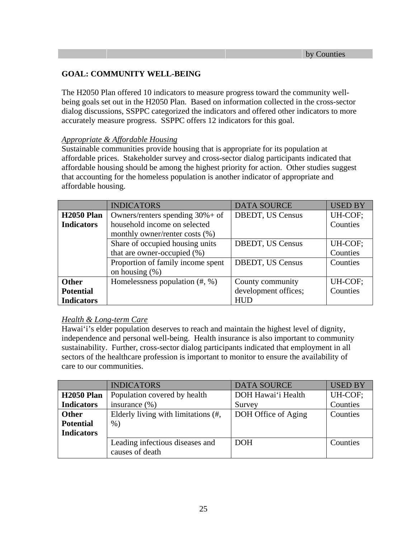# **GOAL: COMMUNITY WELL-BEING**

The H2050 Plan offered 10 indicators to measure progress toward the community wellbeing goals set out in the H2050 Plan. Based on information collected in the cross-sector dialog discussions, SSPPC categorized the indicators and offered other indicators to more accurately measure progress. SSPPC offers 12 indicators for this goal.

## *Appropriate & Affordable Housing*

Sustainable communities provide housing that is appropriate for its population at affordable prices. Stakeholder survey and cross-sector dialog participants indicated that affordable housing should be among the highest priority for action. Other studies suggest that accounting for the homeless population is another indicator of appropriate and affordable housing.

|                   | <b>INDICATORS</b>                   | <b>DATA SOURCE</b>      | <b>USED BY</b> |
|-------------------|-------------------------------------|-------------------------|----------------|
| <b>H2050 Plan</b> | Owners/renters spending $30\% +$ of | <b>DBEDT, US Census</b> | UH-COF;        |
| <b>Indicators</b> | household income on selected        |                         | Counties       |
|                   | monthly owner/renter costs (%)      |                         |                |
|                   | Share of occupied housing units     | <b>DBEDT, US Census</b> | UH-COF;        |
|                   | that are owner-occupied $(\%)$      |                         | Counties       |
|                   | Proportion of family income spent   | <b>DBEDT, US Census</b> | Counties       |
|                   | on housing $(\%)$                   |                         |                |
| <b>Other</b>      | Homelessness population $(\#,\%)$   | County community        | UH-COF;        |
| <b>Potential</b>  |                                     | development offices;    | Counties       |
| <b>Indicators</b> |                                     | <b>HUD</b>              |                |

# *Health & Long-term Care*

Hawai'i's elder population deserves to reach and maintain the highest level of dignity, independence and personal well-being. Health insurance is also important to community sustainability. Further, cross-sector dialog participants indicated that employment in all sectors of the healthcare profession is important to monitor to ensure the availability of care to our communities.

|                   | <b>INDICATORS</b>                                  | <b>DATA SOURCE</b>  | <b>USED BY</b> |
|-------------------|----------------------------------------------------|---------------------|----------------|
| <b>H2050 Plan</b> | Population covered by health                       | DOH Hawai'i Health  | UH-COF;        |
| <b>Indicators</b> | insurance $(\% )$                                  | Survey              | Counties       |
| <b>Other</b>      | Elderly living with limitations (#,                | DOH Office of Aging | Counties       |
| <b>Potential</b>  | $\%$ )                                             |                     |                |
| <b>Indicators</b> |                                                    |                     |                |
|                   | Leading infectious diseases and<br>causes of death | <b>DOH</b>          | Counties       |
|                   |                                                    |                     |                |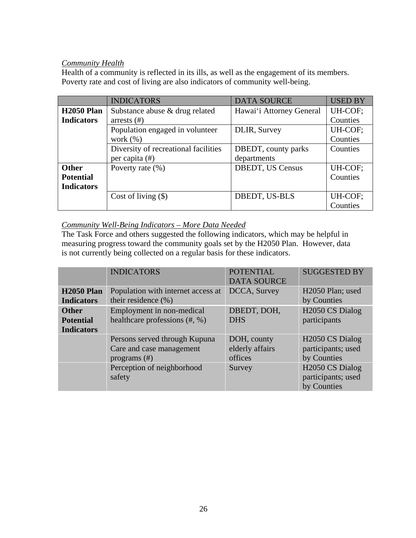# *Community Health*

Health of a community is reflected in its ills, as well as the engagement of its members. Poverty rate and cost of living are also indicators of community well-being.

|                   | <b>INDICATORS</b>                    | <b>DATA SOURCE</b>          | <b>USED BY</b> |
|-------------------|--------------------------------------|-----------------------------|----------------|
| <b>H2050 Plan</b> | Substance abuse & drug related       | Hawai'i Attorney General    | UH-COF;        |
| <b>Indicators</b> | arrests $(\#)$                       |                             | Counties       |
|                   | Population engaged in volunteer      | DLIR, Survey                | UH-COF;        |
|                   | work $(\% )$                         |                             | Counties       |
|                   | Diversity of recreational facilities | <b>DBEDT</b> , county parks | Counties       |
|                   | per capita (#)                       | departments                 |                |
| <b>Other</b>      | Poverty rate $(\%)$                  | <b>DBEDT, US Census</b>     | UH-COF;        |
| <b>Potential</b>  |                                      |                             | Counties       |
| <b>Indicators</b> |                                      |                             |                |
|                   | Cost of living $(\$)$                | DBEDT, US-BLS               | UH-COF;        |
|                   |                                      |                             | Counties       |

# *Community Well-Being Indicators – More Data Needed*

The Task Force and others suggested the following indicators, which may be helpful in measuring progress toward the community goals set by the H2050 Plan. However, data is not currently being collected on a regular basis for these indicators.

|                   | <b>INDICATORS</b>                  | <b>POTENTIAL</b>   | <b>SUGGESTED BY</b>          |
|-------------------|------------------------------------|--------------------|------------------------------|
|                   |                                    | <b>DATA SOURCE</b> |                              |
| <b>H2050 Plan</b> | Population with internet access at | DCCA, Survey       | H <sub>2050</sub> Plan; used |
| <b>Indicators</b> | their residence $(\% )$            |                    | by Counties                  |
| <b>Other</b>      | Employment in non-medical          | DBEDT, DOH,        | H <sub>2050</sub> CS Dialog  |
| <b>Potential</b>  | healthcare professions $(\#$ , %)  | <b>DHS</b>         | participants                 |
| <b>Indicators</b> |                                    |                    |                              |
|                   | Persons served through Kupuna      | DOH, county        | H <sub>2050</sub> CS Dialog  |
|                   | Care and case management           | elderly affairs    | participants; used           |
|                   | programs $(\#)$                    | offices            | by Counties                  |
|                   | Perception of neighborhood         | Survey             | H <sub>2050</sub> CS Dialog  |
|                   | safety                             |                    | participants; used           |
|                   |                                    |                    | by Counties                  |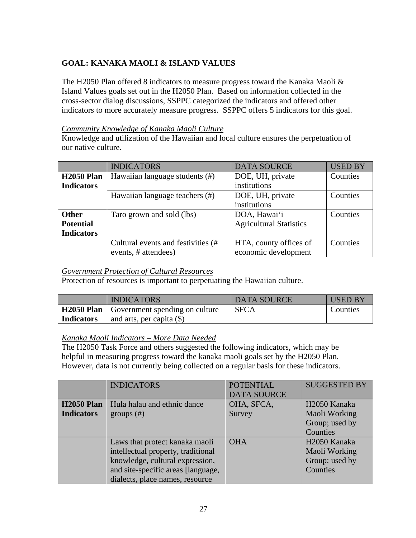# **GOAL: KANAKA MAOLI & ISLAND VALUES**

The H2050 Plan offered 8 indicators to measure progress toward the Kanaka Maoli & Island Values goals set out in the H2050 Plan. Based on information collected in the cross-sector dialog discussions, SSPPC categorized the indicators and offered other indicators to more accurately measure progress. SSPPC offers 5 indicators for this goal.

## *Community Knowledge of Kanaka Maoli Culture*

Knowledge and utilization of the Hawaiian and local culture ensures the perpetuation of our native culture.

|                   | <b>INDICATORS</b>                  | <b>DATA SOURCE</b>             | <b>USED BY</b> |
|-------------------|------------------------------------|--------------------------------|----------------|
| <b>H2050 Plan</b> | Hawaiian language students (#)     | DOE, UH, private               | Counties       |
| <b>Indicators</b> |                                    | institutions                   |                |
|                   | Hawaiian language teachers (#)     | DOE, UH, private               | Counties       |
|                   |                                    | institutions                   |                |
| <b>Other</b>      | Taro grown and sold (lbs)          | DOA, Hawai'i                   | Counties       |
| <b>Potential</b>  |                                    | <b>Agricultural Statistics</b> |                |
| <b>Indicators</b> |                                    |                                |                |
|                   | Cultural events and festivities (# | HTA, county offices of         | Counties       |
|                   | events, # attendees)               | economic development           |                |

# *Government Protection of Cultural Resources*

Protection of resources is important to perpetuating the Hawaiian culture.

|                   | <b>INDICATORS</b>                                | <b>DATA SOURCE</b> | <b>USED BY</b> |
|-------------------|--------------------------------------------------|--------------------|----------------|
|                   | <b>H2050 Plan</b> Government spending on culture | <b>SFCA</b>        | Counties       |
| <b>Indicators</b> | and arts, per capita $(\$)$                      |                    |                |

## *Kanaka Maoli Indicators – More Data Needed*

The H2050 Task Force and others suggested the following indicators, which may be helpful in measuring progress toward the kanaka maoli goals set by the H2050 Plan. However, data is not currently being collected on a regular basis for these indicators.

|                                        | <b>INDICATORS</b>                                                                                                                                                                | <b>POTENTIAL</b><br><b>DATA SOURCE</b> | <b>SUGGESTED BY</b>                                                     |
|----------------------------------------|----------------------------------------------------------------------------------------------------------------------------------------------------------------------------------|----------------------------------------|-------------------------------------------------------------------------|
| <b>H2050 Plan</b><br><b>Indicators</b> | Hula halau and ethnic dance<br>groups $(\#)$                                                                                                                                     | OHA, SFCA,<br>Survey                   | H <sub>2050</sub> Kanaka<br>Maoli Working<br>Group; used by<br>Counties |
|                                        | Laws that protect kanaka maoli<br>intellectual property, traditional<br>knowledge, cultural expression,<br>and site-specific areas [language,<br>dialects, place names, resource | <b>OHA</b>                             | H <sub>2050</sub> Kanaka<br>Maoli Working<br>Group; used by<br>Counties |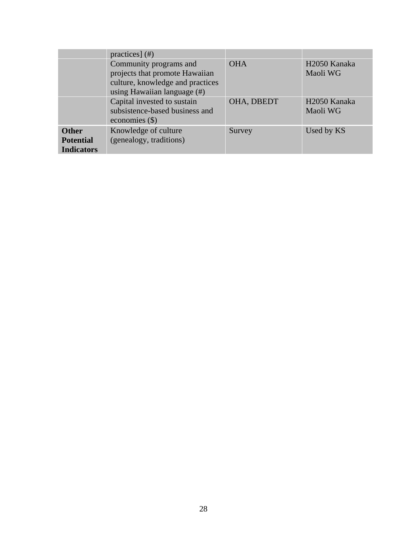|                                                       | practices] $(\#)$                                                                                                              |            |                                      |
|-------------------------------------------------------|--------------------------------------------------------------------------------------------------------------------------------|------------|--------------------------------------|
|                                                       | Community programs and<br>projects that promote Hawaiian<br>culture, knowledge and practices<br>using Hawaiian language $(\#)$ | <b>OHA</b> | H <sub>2050</sub> Kanaka<br>Maoli WG |
|                                                       | Capital invested to sustain<br>subsistence-based business and<br>economies $(\$)$                                              | OHA, DBEDT | H <sub>2050</sub> Kanaka<br>Maoli WG |
| <b>Other</b><br><b>Potential</b><br><b>Indicators</b> | Knowledge of culture<br>(genealogy, traditions)                                                                                | Survey     | Used by KS                           |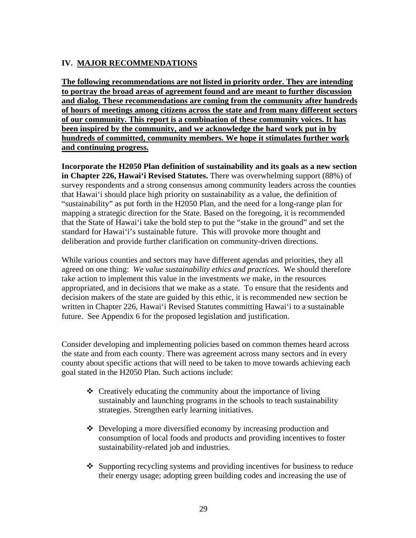# **IV. MAJOR RECOMMENDATIONS**

**The following recommendations are not listed in priority order. They are intending to portray the broad areas of agreement found and are meant to further discussion and dialog. These recommendations are coming from the community after hundreds of hours of meetings among citizens across the state and from many different sectors of our community. This report is a combination of these community voices. It has been inspired by the community, and we acknowledge the hard work put in by hundreds of committed, community members. We hope it stimulates further work and continuing progress.** 

**Incorporate the H2050 Plan definition of sustainability and its goals as a new section in Chapter 226, Hawai'i Revised Statutes.** There was overwhelming support (88%) of survey respondents and a strong consensus among community leaders across the counties that Hawai'i should place high priority on sustainability as a value, the definition of "sustainability" as put forth in the H2050 Plan, and the need for a long-range plan for mapping a strategic direction for the State. Based on the foregoing, it is recommended that the State of Hawai'i take the bold step to put the "stake in the ground" and set the standard for Hawai'i's sustainable future. This will provoke more thought and deliberation and provide further clarification on community-driven directions.

While various counties and sectors may have different agendas and priorities, they all agreed on one thing: *We value sustainability ethics and practices.* We should therefore take action to implement this value in the investments we make, in the resources appropriated, and in decisions that we make as a state. To ensure that the residents and decision makers of the state are guided by this ethic, it is recommended new section be written in Chapter 226, Hawai'i Revised Statutes committing Hawai'i to a sustainable future. See Appendix 6 for the proposed legislation and justification.

Consider developing and implementing policies based on common themes heard across the state and from each county. There was agreement across many sectors and in every county about specific actions that will need to be taken to move towards achieving each goal stated in the H2050 Plan. Such actions include:

- $\triangle$  Creatively educating the community about the importance of living sustainably and launching programs in the schools to teach sustainability strategies. Strengthen early learning initiatives.
- $\triangle$  Developing a more diversified economy by increasing production and consumption of local foods and products and providing incentives to foster sustainability-related job and industries.
- $\triangle$  Supporting recycling systems and providing incentives for business to reduce their energy usage; adopting green building codes and increasing the use of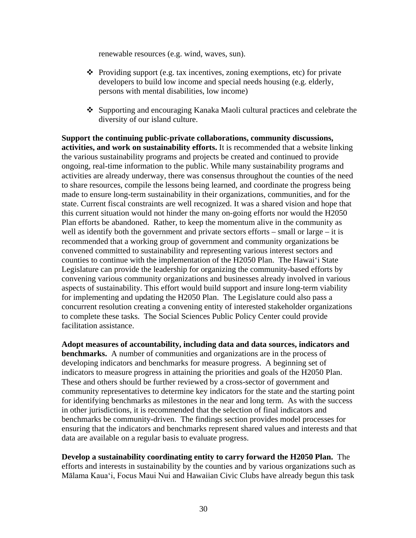renewable resources (e.g. wind, waves, sun).

- $\triangle$  Providing support (e.g. tax incentives, zoning exemptions, etc) for private developers to build low income and special needs housing (e.g. elderly, persons with mental disabilities, low income)
- Supporting and encouraging Kanaka Maoli cultural practices and celebrate the diversity of our island culture.

**Support the continuing public-private collaborations, community discussions, activities, and work on sustainability efforts.** It is recommended that a website linking the various sustainability programs and projects be created and continued to provide ongoing, real-time information to the public. While many sustainability programs and activities are already underway, there was consensus throughout the counties of the need to share resources, compile the lessons being learned, and coordinate the progress being made to ensure long-term sustainability in their organizations, communities, and for the state. Current fiscal constraints are well recognized. It was a shared vision and hope that this current situation would not hinder the many on-going efforts nor would the H2050 Plan efforts be abandoned. Rather, to keep the momentum alive in the community as well as identify both the government and private sectors efforts – small or large – it is recommended that a working group of government and community organizations be convened committed to sustainability and representing various interest sectors and counties to continue with the implementation of the H2050 Plan. The Hawai'i State Legislature can provide the leadership for organizing the community-based efforts by convening various community organizations and businesses already involved in various aspects of sustainability. This effort would build support and insure long-term viability for implementing and updating the H2050 Plan. The Legislature could also pass a concurrent resolution creating a convening entity of interested stakeholder organizations to complete these tasks. The Social Sciences Public Policy Center could provide facilitation assistance.

**Adopt measures of accountability, including data and data sources, indicators and benchmarks.** A number of communities and organizations are in the process of developing indicators and benchmarks for measure progress. A beginning set of indicators to measure progress in attaining the priorities and goals of the H2050 Plan. These and others should be further reviewed by a cross-sector of government and community representatives to determine key indicators for the state and the starting point for identifying benchmarks as milestones in the near and long term. As with the success in other jurisdictions, it is recommended that the selection of final indicators and benchmarks be community-driven. The findings section provides model processes for ensuring that the indicators and benchmarks represent shared values and interests and that data are available on a regular basis to evaluate progress.

**Develop a sustainability coordinating entity to carry forward the H2050 Plan.** The efforts and interests in sustainability by the counties and by various organizations such as Mālama Kaua'i, Focus Maui Nui and Hawaiian Civic Clubs have already begun this task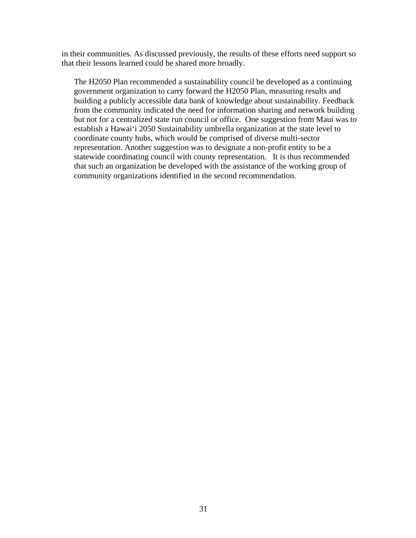in their communities. As discussed previously, the results of these efforts need support so that their lessons learned could be shared more broadly.

The H2050 Plan recommended a sustainability council be developed as a continuing government organization to carry forward the H2050 Plan, measuring results and building a publicly accessible data bank of knowledge about sustainability. Feedback from the community indicated the need for information sharing and network building but not for a centralized state run council or office. One suggestion from Maui was to establish a Hawai'i 2050 Sustainability umbrella organization at the state level to coordinate county hubs, which would be comprised of diverse multi-sector representation. Another suggestion was to designate a non-profit entity to be a statewide coordinating council with county representation. It is thus recommended that such an organization be developed with the assistance of the working group of community organizations identified in the second recommendation.